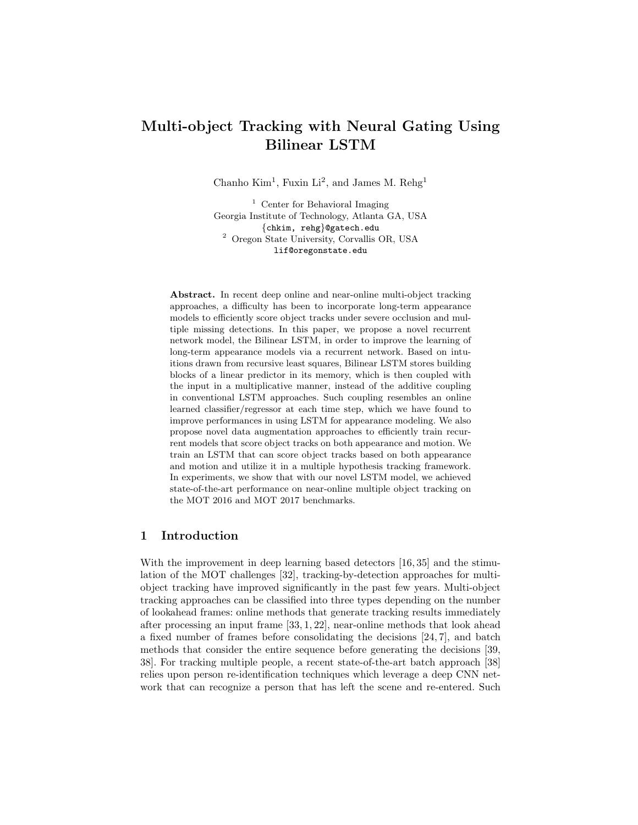# Multi-object Tracking with Neural Gating Using Bilinear LSTM

Chanho  $Kim<sup>1</sup>$ , Fuxin Li<sup>2</sup>, and James M. Rehg<sup>1</sup>

<sup>1</sup> Center for Behavioral Imaging Georgia Institute of Technology, Atlanta GA, USA {chkim, rehg}@gatech.edu <sup>2</sup> Oregon State University, Corvallis OR, USA lif@oregonstate.edu

Abstract. In recent deep online and near-online multi-object tracking approaches, a difficulty has been to incorporate long-term appearance models to efficiently score object tracks under severe occlusion and multiple missing detections. In this paper, we propose a novel recurrent network model, the Bilinear LSTM, in order to improve the learning of long-term appearance models via a recurrent network. Based on intuitions drawn from recursive least squares, Bilinear LSTM stores building blocks of a linear predictor in its memory, which is then coupled with the input in a multiplicative manner, instead of the additive coupling in conventional LSTM approaches. Such coupling resembles an online learned classifier/regressor at each time step, which we have found to improve performances in using LSTM for appearance modeling. We also propose novel data augmentation approaches to efficiently train recurrent models that score object tracks on both appearance and motion. We train an LSTM that can score object tracks based on both appearance and motion and utilize it in a multiple hypothesis tracking framework. In experiments, we show that with our novel LSTM model, we achieved state-of-the-art performance on near-online multiple object tracking on the MOT 2016 and MOT 2017 benchmarks.

# 1 Introduction

With the improvement in deep learning based detectors [16, 35] and the stimulation of the MOT challenges [32], tracking-by-detection approaches for multiobject tracking have improved significantly in the past few years. Multi-object tracking approaches can be classified into three types depending on the number of lookahead frames: online methods that generate tracking results immediately after processing an input frame [33, 1, 22], near-online methods that look ahead a fixed number of frames before consolidating the decisions [24, 7], and batch methods that consider the entire sequence before generating the decisions [39, 38]. For tracking multiple people, a recent state-of-the-art batch approach [38] relies upon person re-identification techniques which leverage a deep CNN network that can recognize a person that has left the scene and re-entered. Such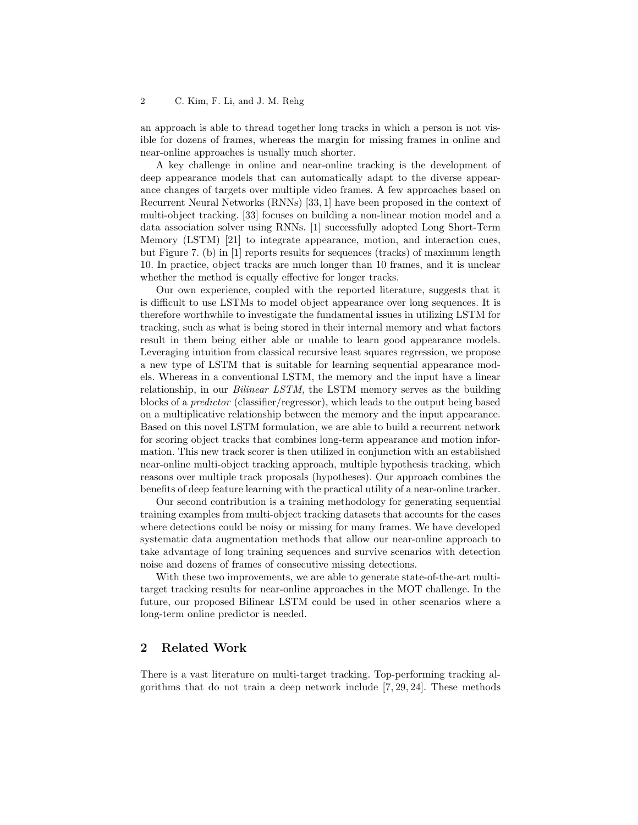an approach is able to thread together long tracks in which a person is not visible for dozens of frames, whereas the margin for missing frames in online and near-online approaches is usually much shorter.

A key challenge in online and near-online tracking is the development of deep appearance models that can automatically adapt to the diverse appearance changes of targets over multiple video frames. A few approaches based on Recurrent Neural Networks (RNNs) [33, 1] have been proposed in the context of multi-object tracking. [33] focuses on building a non-linear motion model and a data association solver using RNNs. [1] successfully adopted Long Short-Term Memory (LSTM) [21] to integrate appearance, motion, and interaction cues, but Figure 7. (b) in [1] reports results for sequences (tracks) of maximum length 10. In practice, object tracks are much longer than 10 frames, and it is unclear whether the method is equally effective for longer tracks.

Our own experience, coupled with the reported literature, suggests that it is difficult to use LSTMs to model object appearance over long sequences. It is therefore worthwhile to investigate the fundamental issues in utilizing LSTM for tracking, such as what is being stored in their internal memory and what factors result in them being either able or unable to learn good appearance models. Leveraging intuition from classical recursive least squares regression, we propose a new type of LSTM that is suitable for learning sequential appearance models. Whereas in a conventional LSTM, the memory and the input have a linear relationship, in our *Bilinear LSTM*, the LSTM memory serves as the building blocks of a predictor (classifier/regressor), which leads to the output being based on a multiplicative relationship between the memory and the input appearance. Based on this novel LSTM formulation, we are able to build a recurrent network for scoring object tracks that combines long-term appearance and motion information. This new track scorer is then utilized in conjunction with an established near-online multi-object tracking approach, multiple hypothesis tracking, which reasons over multiple track proposals (hypotheses). Our approach combines the benefits of deep feature learning with the practical utility of a near-online tracker.

Our second contribution is a training methodology for generating sequential training examples from multi-object tracking datasets that accounts for the cases where detections could be noisy or missing for many frames. We have developed systematic data augmentation methods that allow our near-online approach to take advantage of long training sequences and survive scenarios with detection noise and dozens of frames of consecutive missing detections.

With these two improvements, we are able to generate state-of-the-art multitarget tracking results for near-online approaches in the MOT challenge. In the future, our proposed Bilinear LSTM could be used in other scenarios where a long-term online predictor is needed.

# 2 Related Work

There is a vast literature on multi-target tracking. Top-performing tracking algorithms that do not train a deep network include [7, 29, 24]. These methods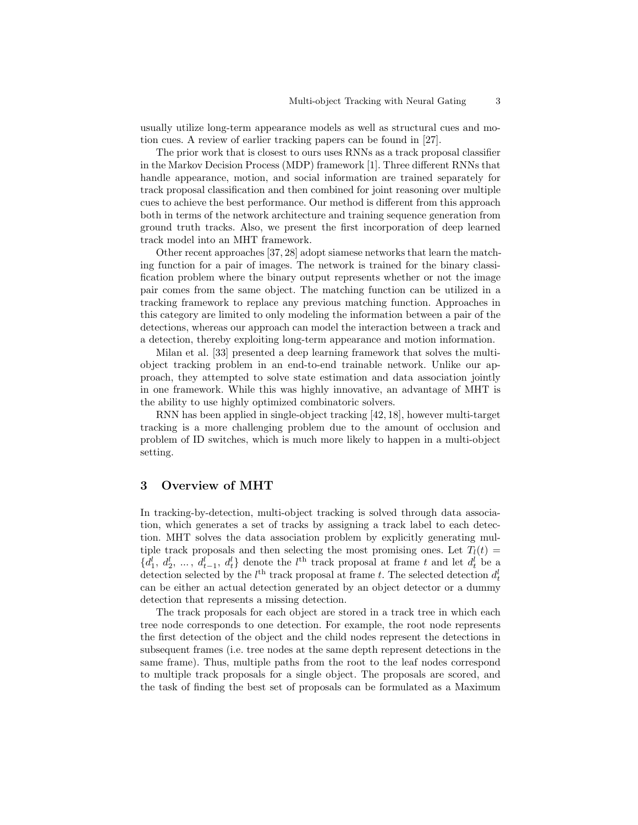usually utilize long-term appearance models as well as structural cues and motion cues. A review of earlier tracking papers can be found in [27].

The prior work that is closest to ours uses RNNs as a track proposal classifier in the Markov Decision Process (MDP) framework [1]. Three different RNNs that handle appearance, motion, and social information are trained separately for track proposal classification and then combined for joint reasoning over multiple cues to achieve the best performance. Our method is different from this approach both in terms of the network architecture and training sequence generation from ground truth tracks. Also, we present the first incorporation of deep learned track model into an MHT framework.

Other recent approaches [37, 28] adopt siamese networks that learn the matching function for a pair of images. The network is trained for the binary classification problem where the binary output represents whether or not the image pair comes from the same object. The matching function can be utilized in a tracking framework to replace any previous matching function. Approaches in this category are limited to only modeling the information between a pair of the detections, whereas our approach can model the interaction between a track and a detection, thereby exploiting long-term appearance and motion information.

Milan et al. [33] presented a deep learning framework that solves the multiobject tracking problem in an end-to-end trainable network. Unlike our approach, they attempted to solve state estimation and data association jointly in one framework. While this was highly innovative, an advantage of MHT is the ability to use highly optimized combinatoric solvers.

RNN has been applied in single-object tracking [42, 18], however multi-target tracking is a more challenging problem due to the amount of occlusion and problem of ID switches, which is much more likely to happen in a multi-object setting.

#### 3 Overview of MHT

In tracking-by-detection, multi-object tracking is solved through data association, which generates a set of tracks by assigning a track label to each detection. MHT solves the data association problem by explicitly generating multiple track proposals and then selecting the most promising ones. Let  $T_l(t)$  =  $\{d_1^l, d_2^l, ..., d_{t-1}^l, d_t^l\}$  denote the l<sup>th</sup> track proposal at frame t and let  $d_t^l$  be a detection selected by the  $l^{\text{th}}$  track proposal at frame t. The selected detection  $d_t^l$ can be either an actual detection generated by an object detector or a dummy detection that represents a missing detection.

The track proposals for each object are stored in a track tree in which each tree node corresponds to one detection. For example, the root node represents the first detection of the object and the child nodes represent the detections in subsequent frames (i.e. tree nodes at the same depth represent detections in the same frame). Thus, multiple paths from the root to the leaf nodes correspond to multiple track proposals for a single object. The proposals are scored, and the task of finding the best set of proposals can be formulated as a Maximum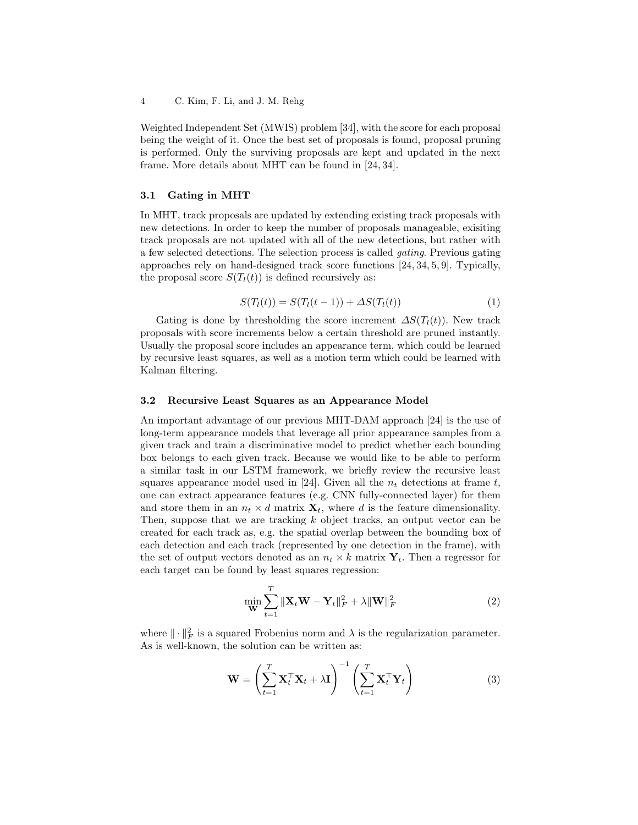Weighted Independent Set (MWIS) problem [34], with the score for each proposal being the weight of it. Once the best set of proposals is found, proposal pruning is performed. Only the surviving proposals are kept and updated in the next frame. More details about MHT can be found in [24, 34].

#### 3.1 Gating in MHT

In MHT, track proposals are updated by extending existing track proposals with new detections. In order to keep the number of proposals manageable, exisiting track proposals are not updated with all of the new detections, but rather with a few selected detections. The selection process is called gating. Previous gating approaches rely on hand-designed track score functions [24, 34, 5, 9]. Typically, the proposal score  $S(T<sub>l</sub>(t))$  is defined recursively as:

$$
S(T_l(t)) = S(T_l(t-1)) + \Delta S(T_l(t))
$$
\n(1)

Gating is done by thresholding the score increment  $\Delta S(T_l(t))$ . New track proposals with score increments below a certain threshold are pruned instantly. Usually the proposal score includes an appearance term, which could be learned by recursive least squares, as well as a motion term which could be learned with Kalman filtering.

#### 3.2 Recursive Least Squares as an Appearance Model

An important advantage of our previous MHT-DAM approach [24] is the use of long-term appearance models that leverage all prior appearance samples from a given track and train a discriminative model to predict whether each bounding box belongs to each given track. Because we would like to be able to perform a similar task in our LSTM framework, we briefly review the recursive least squares appearance model used in [24]. Given all the  $n_t$  detections at frame t, one can extract appearance features (e.g. CNN fully-connected layer) for them and store them in an  $n_t \times d$  matrix  $\mathbf{X}_t$ , where d is the feature dimensionality. Then, suppose that we are tracking  $k$  object tracks, an output vector can be created for each track as, e.g. the spatial overlap between the bounding box of each detection and each track (represented by one detection in the frame), with the set of output vectors denoted as an  $n_t \times k$  matrix  $Y_t$ . Then a regressor for each target can be found by least squares regression:

$$
\min_{\mathbf{W}} \sum_{t=1}^{T} \|\mathbf{X}_t \mathbf{W} - \mathbf{Y}_t\|_F^2 + \lambda \|\mathbf{W}\|_F^2
$$
\n(2)

where  $\|\cdot\|_F^2$  is a squared Frobenius norm and  $\lambda$  is the regularization parameter. As is well-known, the solution can be written as:

$$
\mathbf{W} = \left(\sum_{t=1}^{T} \mathbf{X}_t^{\top} \mathbf{X}_t + \lambda \mathbf{I}\right)^{-1} \left(\sum_{t=1}^{T} \mathbf{X}_t^{\top} \mathbf{Y}_t\right)
$$
(3)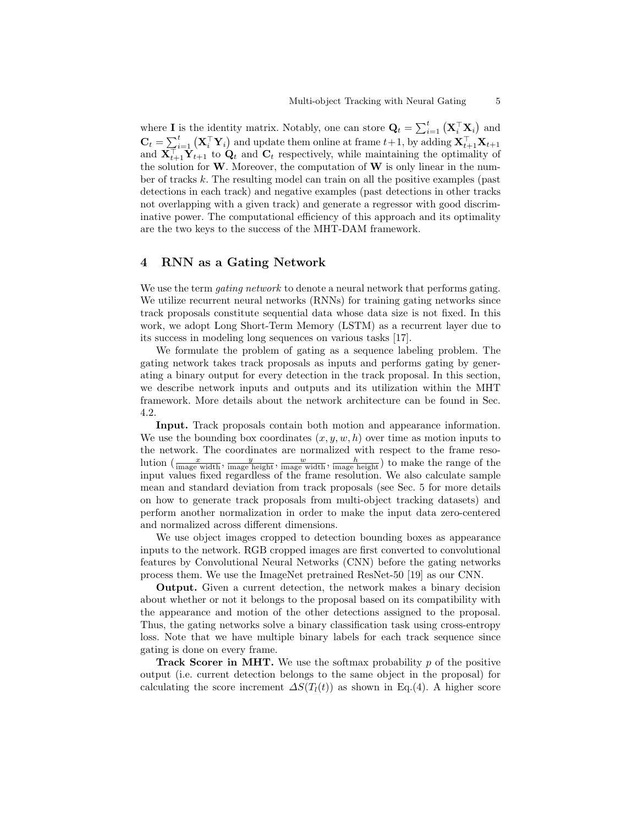where **I** is the identity matrix. Notably, one can store  $\mathbf{Q}_t = \sum_{i=1}^t (\mathbf{X}_i^{\top} \mathbf{X}_i)$  and  $\mathbf{C}_t = \sum_{i=1}^t (\mathbf{X}_i^{\top} \mathbf{Y}_i)$  and update them online at frame  $t+1$ , by adding  $\mathbf{X}_{t+1}^{\top} \mathbf{X}_{t+1}$ and  $\mathbf{X}_{t+1}^{\top} \mathbf{Y}_{t+1}$  to  $\mathbf{Q}_t$  and  $\mathbf{C}_t$  respectively, while maintaining the optimality of the solution for  $W$ . Moreover, the computation of  $W$  is only linear in the number of tracks k. The resulting model can train on all the positive examples (past detections in each track) and negative examples (past detections in other tracks not overlapping with a given track) and generate a regressor with good discriminative power. The computational efficiency of this approach and its optimality are the two keys to the success of the MHT-DAM framework.

### 4 RNN as a Gating Network

We use the term *gating network* to denote a neural network that performs gating. We utilize recurrent neural networks (RNNs) for training gating networks since track proposals constitute sequential data whose data size is not fixed. In this work, we adopt Long Short-Term Memory (LSTM) as a recurrent layer due to its success in modeling long sequences on various tasks [17].

We formulate the problem of gating as a sequence labeling problem. The gating network takes track proposals as inputs and performs gating by generating a binary output for every detection in the track proposal. In this section, we describe network inputs and outputs and its utilization within the MHT framework. More details about the network architecture can be found in Sec. 4.2.

Input. Track proposals contain both motion and appearance information. We use the bounding box coordinates  $(x, y, w, h)$  over time as motion inputs to the network. The coordinates are normalized with respect to the frame resolution  $\left(\frac{x}{\text{image width}}, \frac{y}{\text{image height}}, \frac{w}{\text{image width}}, \frac{h}{\text{image height}}\right)$  to make the range of the input values fixed regardless of the frame resolution. We also calculate sample mean and standard deviation from track proposals (see Sec. 5 for more details on how to generate track proposals from multi-object tracking datasets) and perform another normalization in order to make the input data zero-centered and normalized across different dimensions.

We use object images cropped to detection bounding boxes as appearance inputs to the network. RGB cropped images are first converted to convolutional features by Convolutional Neural Networks (CNN) before the gating networks process them. We use the ImageNet pretrained ResNet-50 [19] as our CNN.

Output. Given a current detection, the network makes a binary decision about whether or not it belongs to the proposal based on its compatibility with the appearance and motion of the other detections assigned to the proposal. Thus, the gating networks solve a binary classification task using cross-entropy loss. Note that we have multiple binary labels for each track sequence since gating is done on every frame.

**Track Scorer in MHT.** We use the softmax probability  $p$  of the positive output (i.e. current detection belongs to the same object in the proposal) for calculating the score increment  $\Delta S(T_l(t))$  as shown in Eq.(4). A higher score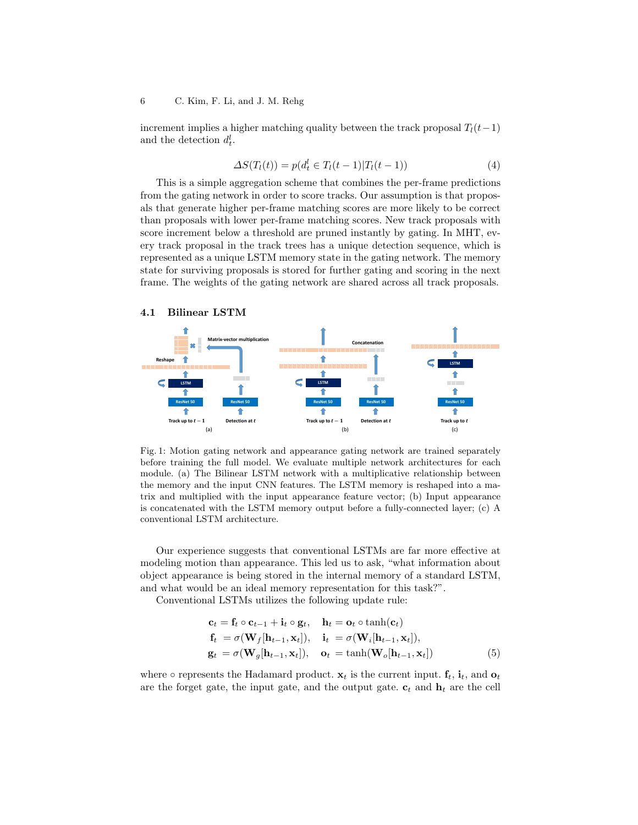increment implies a higher matching quality between the track proposal  $T_l(t-1)$ and the detection  $d_t^l$ .

$$
\Delta S(T_l(t)) = p(d_t^l \in T_l(t-1)|T_l(t-1))
$$
\n(4)

This is a simple aggregation scheme that combines the per-frame predictions from the gating network in order to score tracks. Our assumption is that proposals that generate higher per-frame matching scores are more likely to be correct than proposals with lower per-frame matching scores. New track proposals with score increment below a threshold are pruned instantly by gating. In MHT, every track proposal in the track trees has a unique detection sequence, which is represented as a unique LSTM memory state in the gating network. The memory state for surviving proposals is stored for further gating and scoring in the next frame. The weights of the gating network are shared across all track proposals.

#### 4.1 Bilinear LSTM



Fig. 1: Motion gating network and appearance gating network are trained separately before training the full model. We evaluate multiple network architectures for each module. (a) The Bilinear LSTM network with a multiplicative relationship between the memory and the input CNN features. The LSTM memory is reshaped into a matrix and multiplied with the input appearance feature vector; (b) Input appearance is concatenated with the LSTM memory output before a fully-connected layer; (c) A conventional LSTM architecture.

Our experience suggests that conventional LSTMs are far more effective at modeling motion than appearance. This led us to ask, "what information about object appearance is being stored in the internal memory of a standard LSTM, and what would be an ideal memory representation for this task?".

Conventional LSTMs utilizes the following update rule:

$$
\mathbf{c}_{t} = \mathbf{f}_{t} \circ \mathbf{c}_{t-1} + \mathbf{i}_{t} \circ \mathbf{g}_{t}, \quad \mathbf{h}_{t} = \mathbf{o}_{t} \circ \tanh(\mathbf{c}_{t}) \n\mathbf{f}_{t} = \sigma(\mathbf{W}_{f}[\mathbf{h}_{t-1}, \mathbf{x}_{t}]), \quad \mathbf{i}_{t} = \sigma(\mathbf{W}_{i}[\mathbf{h}_{t-1}, \mathbf{x}_{t}]), \n\mathbf{g}_{t} = \sigma(\mathbf{W}_{g}[\mathbf{h}_{t-1}, \mathbf{x}_{t}]), \quad \mathbf{o}_{t} = \tanh(\mathbf{W}_{o}[\mathbf{h}_{t-1}, \mathbf{x}_{t}])
$$
\n(5)

where  $\circ$  represents the Hadamard product.  $\mathbf{x}_t$  is the current input.  $\mathbf{f}_t$ ,  $\mathbf{i}_t$ , and  $\mathbf{o}_t$ are the forget gate, the input gate, and the output gate.  $\mathbf{c}_t$  and  $\mathbf{h}_t$  are the cell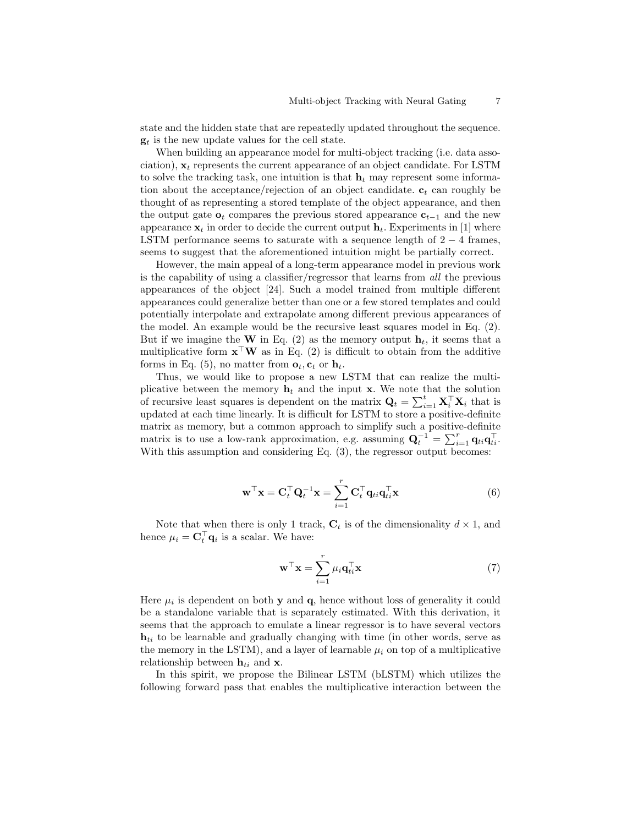state and the hidden state that are repeatedly updated throughout the sequence.  $g_t$  is the new update values for the cell state.

When building an appearance model for multi-object tracking (i.e. data association),  $x_t$  represents the current appearance of an object candidate. For LSTM to solve the tracking task, one intuition is that  $h_t$  may represent some information about the acceptance/rejection of an object candidate.  $c_t$  can roughly be thought of as representing a stored template of the object appearance, and then the output gate  $o_t$  compares the previous stored appearance  $c_{t-1}$  and the new appearance  $x_t$  in order to decide the current output  $h_t$ . Experiments in [1] where LSTM performance seems to saturate with a sequence length of  $2 - 4$  frames, seems to suggest that the aforementioned intuition might be partially correct.

However, the main appeal of a long-term appearance model in previous work is the capability of using a classifier/regressor that learns from all the previous appearances of the object [24]. Such a model trained from multiple different appearances could generalize better than one or a few stored templates and could potentially interpolate and extrapolate among different previous appearances of the model. An example would be the recursive least squares model in Eq. (2). But if we imagine the W in Eq. (2) as the memory output  $\mathbf{h}_t$ , it seems that a multiplicative form  $\mathbf{x}^\top \mathbf{W}$  as in Eq. (2) is difficult to obtain from the additive forms in Eq. (5), no matter from  $\mathbf{o}_t$ ,  $\mathbf{c}_t$  or  $\mathbf{h}_t$ .

Thus, we would like to propose a new LSTM that can realize the multiplicative between the memory  $\mathbf{h}_t$  and the input **x**. We note that the solution of recursive least squares is dependent on the matrix  $\mathbf{Q}_t = \sum_{i=1}^t \mathbf{X}_i^\top \mathbf{X}_i$  that is updated at each time linearly. It is difficult for LSTM to store a positive-definite matrix as memory, but a common approach to simplify such a positive-definite matrix is to use a low-rank approximation, e.g. assuming  $\mathbf{Q}_t^{-1} = \sum_{i=1}^r \mathbf{q}_{ti} \mathbf{q}_{ti}^\top$ . With this assumption and considering Eq.  $(3)$ , the regressor output becomes:

$$
\mathbf{w}^{\top}\mathbf{x} = \mathbf{C}_t^{\top}\mathbf{Q}_t^{-1}\mathbf{x} = \sum_{i=1}^r \mathbf{C}_t^{\top}\mathbf{q}_{ti}\mathbf{q}_{ti}^{\top}\mathbf{x}
$$
(6)

Note that when there is only 1 track,  $C_t$  is of the dimensionality  $d \times 1$ , and hence  $\mu_i = \mathbf{C}_t^{\top} \mathbf{q}_i$  is a scalar. We have:

$$
\mathbf{w}^{\top}\mathbf{x} = \sum_{i=1}^{r} \mu_i \mathbf{q}_{ti}^{\top}\mathbf{x}
$$
 (7)

Here  $\mu_i$  is dependent on both **y** and **q**, hence without loss of generality it could be a standalone variable that is separately estimated. With this derivation, it seems that the approach to emulate a linear regressor is to have several vectors  $h_{ti}$  to be learnable and gradually changing with time (in other words, serve as the memory in the LSTM), and a layer of learnable  $\mu_i$  on top of a multiplicative relationship between  $\mathbf{h}_{ti}$  and **x**.

In this spirit, we propose the Bilinear LSTM (bLSTM) which utilizes the following forward pass that enables the multiplicative interaction between the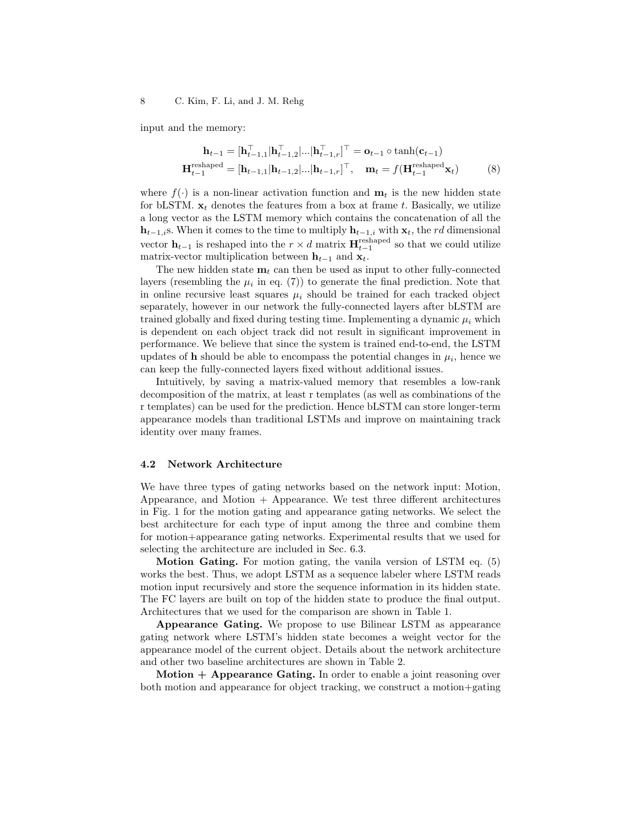input and the memory:

$$
\mathbf{h}_{t-1} = [\mathbf{h}_{t-1,1}^{\top} | \mathbf{h}_{t-1,2}^{\top}|... | \mathbf{h}_{t-1,r}^{\top}]^{\top} = \mathbf{o}_{t-1} \circ \tanh(\mathbf{c}_{t-1})
$$

$$
\mathbf{H}_{t-1}^{\text{reshape}} = [\mathbf{h}_{t-1,1} | \mathbf{h}_{t-1,2}|... | \mathbf{h}_{t-1,r}]^{\top}, \quad \mathbf{m}_{t} = f(\mathbf{H}_{t-1}^{\text{reshape}} \mathbf{x}_{t}) \tag{8}
$$

where  $f(\cdot)$  is a non-linear activation function and  $\mathbf{m}_t$  is the new hidden state for bLSTM.  $x_t$  denotes the features from a box at frame t. Basically, we utilize a long vector as the LSTM memory which contains the concatenation of all the  $h_{t-1,i}$ s. When it comes to the time to multiply  $h_{t-1,i}$  with  $x_t$ , the rd dimensional vector  $\mathbf{h}_{t-1}$  is reshaped into the  $r \times d$  matrix  $\mathbf{H}_{t-1}^{\text{reshape}}$  so that we could utilize matrix-vector multiplication between  $h_{t-1}$  and  $x_t$ .

The new hidden state  $\mathbf{m}_t$  can then be used as input to other fully-connected layers (resembling the  $\mu_i$  in eq. (7)) to generate the final prediction. Note that in online recursive least squares  $\mu_i$  should be trained for each tracked object separately, however in our network the fully-connected layers after bLSTM are trained globally and fixed during testing time. Implementing a dynamic  $\mu_i$  which is dependent on each object track did not result in significant improvement in performance. We believe that since the system is trained end-to-end, the LSTM updates of **h** should be able to encompass the potential changes in  $\mu_i$ , hence we can keep the fully-connected layers fixed without additional issues.

Intuitively, by saving a matrix-valued memory that resembles a low-rank decomposition of the matrix, at least r templates (as well as combinations of the r templates) can be used for the prediction. Hence bLSTM can store longer-term appearance models than traditional LSTMs and improve on maintaining track identity over many frames.

#### 4.2 Network Architecture

We have three types of gating networks based on the network input: Motion, Appearance, and Motion + Appearance. We test three different architectures in Fig. 1 for the motion gating and appearance gating networks. We select the best architecture for each type of input among the three and combine them for motion+appearance gating networks. Experimental results that we used for selecting the architecture are included in Sec. 6.3.

Motion Gating. For motion gating, the vanila version of LSTM eq. (5) works the best. Thus, we adopt LSTM as a sequence labeler where LSTM reads motion input recursively and store the sequence information in its hidden state. The FC layers are built on top of the hidden state to produce the final output. Architectures that we used for the comparison are shown in Table 1.

Appearance Gating. We propose to use Bilinear LSTM as appearance gating network where LSTM's hidden state becomes a weight vector for the appearance model of the current object. Details about the network architecture and other two baseline architectures are shown in Table 2.

Motion  $+$  Appearance Gating. In order to enable a joint reasoning over both motion and appearance for object tracking, we construct a motion+gating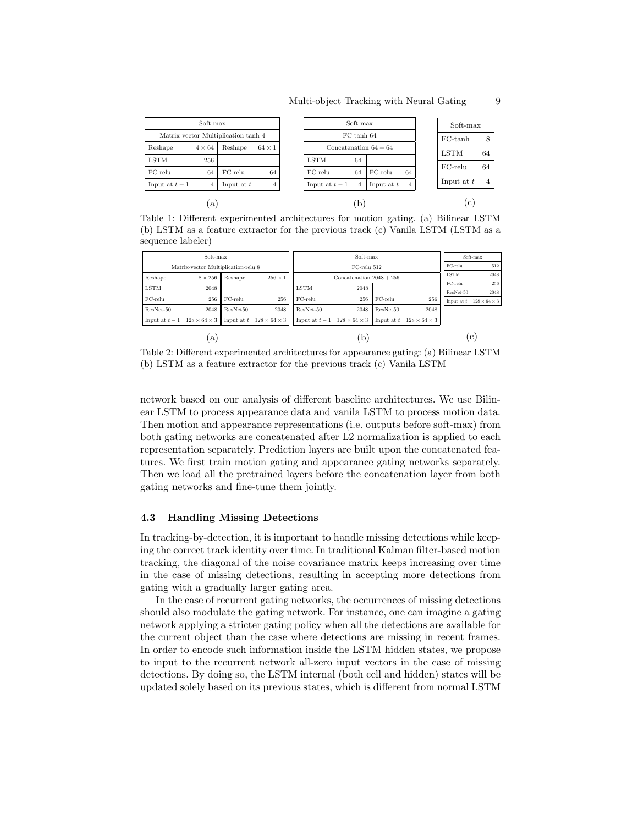| Soft-max                            |               |              |               | Soft-max                |    |                   |              | Soft-max     |    |
|-------------------------------------|---------------|--------------|---------------|-------------------------|----|-------------------|--------------|--------------|----|
| Matrix-vector Multiplication-tanh 4 |               |              |               | FC-tanh 64              |    |                   |              | $FC-tanh$    | 8  |
| Reshape                             | $4 \times 64$ | Reshape      | $64 \times 1$ | Concatenation $64 + 64$ |    |                   |              | LSTM         | 64 |
| <b>LSTM</b>                         | 256           |              |               | <b>LSTM</b>             | 64 |                   |              |              |    |
| $FC$ -relu                          | 64            | $FC$ -relu   | 64            | $FC$ -relu              | 64 | $FC$ -relu<br>64  |              | $FC$ -relu   | 64 |
| Input at $t-1$                      | 4             | Input at $t$ | 4             | Input at $t-1$          | 4  | Input at $t$<br>4 |              | Input at $t$ |    |
| a                                   |               |              | $\mathbf{b}$  |                         |    |                   | $\mathbf{c}$ |              |    |

Table 1: Different experimented architectures for motion gating. (a) Bilinear LSTM (b) LSTM as a feature extractor for the previous track (c) Vanila LSTM (LSTM as a sequence labeler)

| Soft-max                                  |                                             |            |                                         |                                                                                      |                            | Soft-max   |      |     |              |                          |
|-------------------------------------------|---------------------------------------------|------------|-----------------------------------------|--------------------------------------------------------------------------------------|----------------------------|------------|------|-----|--------------|--------------------------|
|                                           | Matrix-vector Multiplication-relu 8         |            |                                         |                                                                                      | FC-relu 512                |            |      |     |              | 512                      |
| Reshape                                   | $8 \times 256$<br>$256 \times 1$<br>Reshape |            |                                         |                                                                                      | Concatenation $2048 + 256$ |            |      |     | <b>LSTM</b>  | 2048                     |
| <b>LSTM</b>                               | 2048                                        |            |                                         | <b>LSTM</b>                                                                          | 2048                       |            |      |     | FC-relu      | 256                      |
|                                           |                                             |            |                                         |                                                                                      |                            |            |      |     | ResNet-50    | 2048                     |
| $FC$ -relu                                | 256                                         | $FC$ -relu | 256                                     | $FC$ -relu                                                                           | 256                        | $FC$ -relu |      | 256 | Input at $t$ | $128 \times 64 \times 3$ |
| ResNet-50                                 | 2048                                        | ResNet50   | 2048                                    | ResNet-50                                                                            | 2048                       | ResNet50   | 2048 |     |              |                          |
| Input at $t-1$ 128 $\times$ 64 $\times$ 3 |                                             |            | Input at $t$ 128 $\times$ 64 $\times$ 3 | Input at $t-1$ 128 $\times$ 64 $\times$ 3    Input at $t$ 128 $\times$ 64 $\times$ 3 |                            |            |      |     |              |                          |
|                                           | a                                           |            |                                         | b                                                                                    |                            |            |      |     |              | $\mathbf{c}$             |

Table 2: Different experimented architectures for appearance gating: (a) Bilinear LSTM (b) LSTM as a feature extractor for the previous track (c) Vanila LSTM

network based on our analysis of different baseline architectures. We use Bilinear LSTM to process appearance data and vanila LSTM to process motion data. Then motion and appearance representations (i.e. outputs before soft-max) from both gating networks are concatenated after L2 normalization is applied to each representation separately. Prediction layers are built upon the concatenated features. We first train motion gating and appearance gating networks separately. Then we load all the pretrained layers before the concatenation layer from both gating networks and fine-tune them jointly.

#### 4.3 Handling Missing Detections

In tracking-by-detection, it is important to handle missing detections while keeping the correct track identity over time. In traditional Kalman filter-based motion tracking, the diagonal of the noise covariance matrix keeps increasing over time in the case of missing detections, resulting in accepting more detections from gating with a gradually larger gating area.

In the case of recurrent gating networks, the occurrences of missing detections should also modulate the gating network. For instance, one can imagine a gating network applying a stricter gating policy when all the detections are available for the current object than the case where detections are missing in recent frames. In order to encode such information inside the LSTM hidden states, we propose to input to the recurrent network all-zero input vectors in the case of missing detections. By doing so, the LSTM internal (both cell and hidden) states will be updated solely based on its previous states, which is different from normal LSTM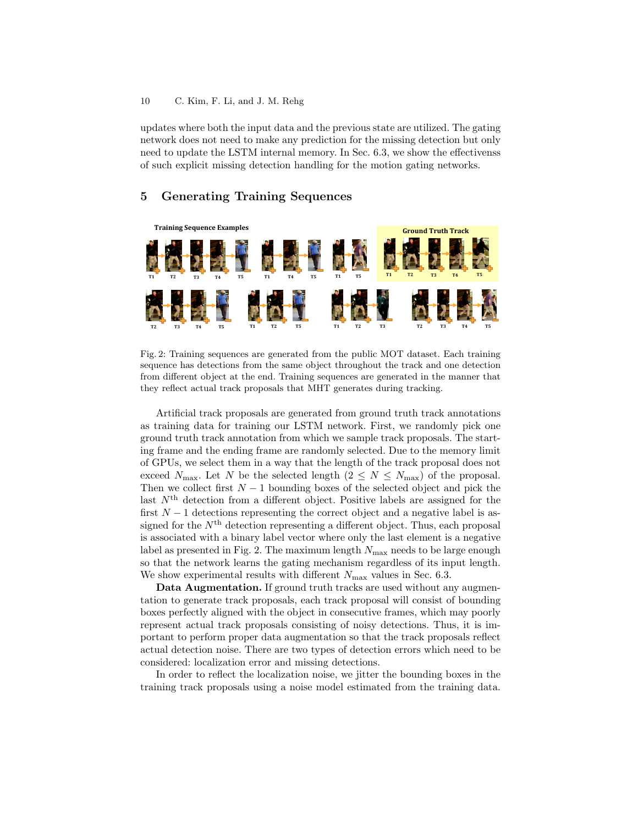updates where both the input data and the previous state are utilized. The gating network does not need to make any prediction for the missing detection but only need to update the LSTM internal memory. In Sec. 6.3, we show the effectivenss of such explicit missing detection handling for the motion gating networks.

### 5 Generating Training Sequences



Fig. 2: Training sequences are generated from the public MOT dataset. Each training sequence has detections from the same object throughout the track and one detection from different object at the end. Training sequences are generated in the manner that they reflect actual track proposals that MHT generates during tracking.

Artificial track proposals are generated from ground truth track annotations as training data for training our LSTM network. First, we randomly pick one ground truth track annotation from which we sample track proposals. The starting frame and the ending frame are randomly selected. Due to the memory limit of GPUs, we select them in a way that the length of the track proposal does not exceed  $N_{\text{max}}$ . Let N be the selected length  $(2 \leq N \leq N_{\text{max}})$  of the proposal. Then we collect first  $N-1$  bounding boxes of the selected object and pick the last  $N<sup>th</sup>$  detection from a different object. Positive labels are assigned for the first  $N-1$  detections representing the correct object and a negative label is assigned for the  $N<sup>th</sup>$  detection representing a different object. Thus, each proposal is associated with a binary label vector where only the last element is a negative label as presented in Fig. 2. The maximum length  $N_{\text{max}}$  needs to be large enough so that the network learns the gating mechanism regardless of its input length. We show experimental results with different  $N_{\text{max}}$  values in Sec. 6.3.

Data Augmentation. If ground truth tracks are used without any augmentation to generate track proposals, each track proposal will consist of bounding boxes perfectly aligned with the object in consecutive frames, which may poorly represent actual track proposals consisting of noisy detections. Thus, it is important to perform proper data augmentation so that the track proposals reflect actual detection noise. There are two types of detection errors which need to be considered: localization error and missing detections.

In order to reflect the localization noise, we jitter the bounding boxes in the training track proposals using a noise model estimated from the training data.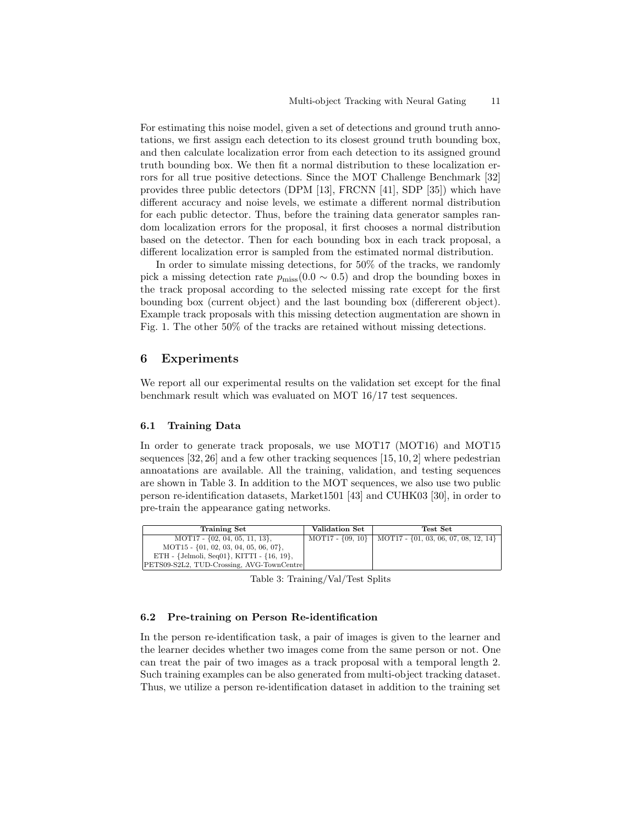For estimating this noise model, given a set of detections and ground truth annotations, we first assign each detection to its closest ground truth bounding box, and then calculate localization error from each detection to its assigned ground truth bounding box. We then fit a normal distribution to these localization errors for all true positive detections. Since the MOT Challenge Benchmark [32] provides three public detectors (DPM [13], FRCNN [41], SDP [35]) which have different accuracy and noise levels, we estimate a different normal distribution for each public detector. Thus, before the training data generator samples random localization errors for the proposal, it first chooses a normal distribution based on the detector. Then for each bounding box in each track proposal, a different localization error is sampled from the estimated normal distribution.

In order to simulate missing detections, for 50% of the tracks, we randomly pick a missing detection rate  $p_{\text{miss}}(0.0 \sim 0.5)$  and drop the bounding boxes in the track proposal according to the selected missing rate except for the first bounding box (current object) and the last bounding box (differerent object). Example track proposals with this missing detection augmentation are shown in Fig. 1. The other 50% of the tracks are retained without missing detections.

## 6 Experiments

We report all our experimental results on the validation set except for the final benchmark result which was evaluated on MOT 16/17 test sequences.

#### 6.1 Training Data

In order to generate track proposals, we use MOT17 (MOT16) and MOT15 sequences  $[32, 26]$  and a few other tracking sequences  $[15, 10, 2]$  where pedestrian annoatations are available. All the training, validation, and testing sequences are shown in Table 3. In addition to the MOT sequences, we also use two public person re-identification datasets, Market1501 [43] and CUHK03 [30], in order to pre-train the appearance gating networks.

| Training Set                                   | Validation Set | Test Set                                                        |
|------------------------------------------------|----------------|-----------------------------------------------------------------|
| $MOT17 - \{02, 04, 05, 11, 13\},\$             |                | MOT17 - $\{09, 10\}$   MOT17 - $\{01, 03, 06, 07, 08, 12, 14\}$ |
| MOT15 - $\{01, 02, 03, 04, 05, 06, 07\}$ ,     |                |                                                                 |
| ETH - {Jelmoli, Seq01}, KITTI - $\{16, 19\}$ , |                |                                                                 |
| PETS09-S2L2, TUD-Crossing, AVG-TownCentre      |                |                                                                 |

Table 3: Training/Val/Test Splits

#### 6.2 Pre-training on Person Re-identification

In the person re-identification task, a pair of images is given to the learner and the learner decides whether two images come from the same person or not. One can treat the pair of two images as a track proposal with a temporal length 2. Such training examples can be also generated from multi-object tracking dataset. Thus, we utilize a person re-identification dataset in addition to the training set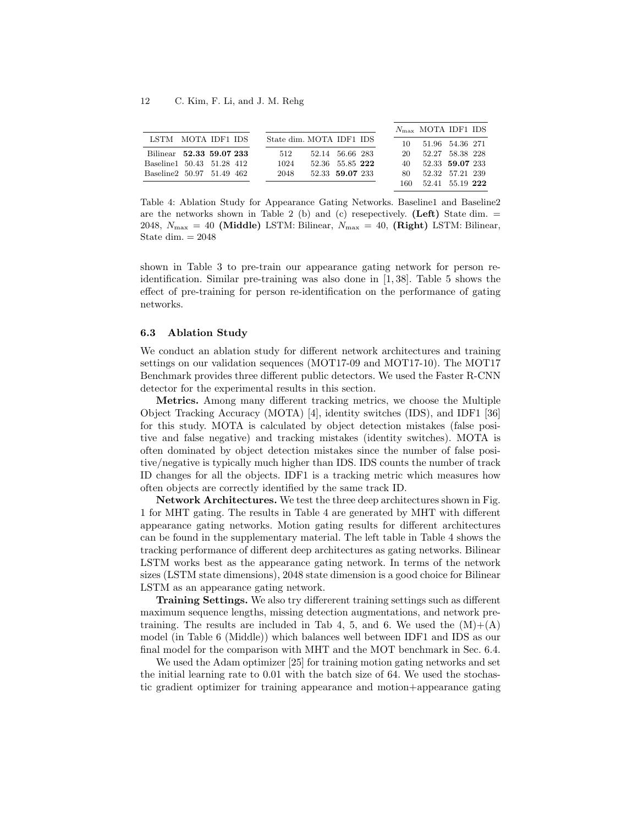|                           |  |                          |                 |  |      | $N_{\rm max}$ MOTA IDF1 IDS |  |
|---------------------------|--|--------------------------|-----------------|--|------|-----------------------------|--|
| LSTM MOTA IDF1 IDS        |  | State dim. MOTA IDF1 IDS |                 |  | 10   | 51.96 54.36 271             |  |
| Bilinear 52.33 59.07 233  |  | 512                      | 52.14 56.66 283 |  | 20   | 52.27 58.38 228             |  |
| Baseline1 50.43 51.28 412 |  | 1024                     | 52.36 55.85 222 |  | 40.  | 52.33 59.07 233             |  |
| Baseline2 50.97 51.49 462 |  | 2048                     | 52.33 59.07 233 |  | 80.  | 52.32 57.21 239             |  |
|                           |  |                          |                 |  | 160. | 52.41 55.19 222             |  |

Table 4: Ablation Study for Appearance Gating Networks. Baseline1 and Baseline2 are the networks shown in Table 2 (b) and (c) resepectively. (Left) State dim.  $=$ 2048,  $N_{\text{max}} = 40$  (Middle) LSTM: Bilinear,  $N_{\text{max}} = 40$ , (Right) LSTM: Bilinear, State dim.  $= 2048$ 

shown in Table 3 to pre-train our appearance gating network for person reidentification. Similar pre-training was also done in [1, 38]. Table 5 shows the effect of pre-training for person re-identification on the performance of gating networks.

#### 6.3 Ablation Study

We conduct an ablation study for different network architectures and training settings on our validation sequences (MOT17-09 and MOT17-10). The MOT17 Benchmark provides three different public detectors. We used the Faster R-CNN detector for the experimental results in this section.

Metrics. Among many different tracking metrics, we choose the Multiple Object Tracking Accuracy (MOTA) [4], identity switches (IDS), and IDF1 [36] for this study. MOTA is calculated by object detection mistakes (false positive and false negative) and tracking mistakes (identity switches). MOTA is often dominated by object detection mistakes since the number of false positive/negative is typically much higher than IDS. IDS counts the number of track ID changes for all the objects. IDF1 is a tracking metric which measures how often objects are correctly identified by the same track ID.

Network Architectures. We test the three deep architectures shown in Fig. 1 for MHT gating. The results in Table 4 are generated by MHT with different appearance gating networks. Motion gating results for different architectures can be found in the supplementary material. The left table in Table 4 shows the tracking performance of different deep architectures as gating networks. Bilinear LSTM works best as the appearance gating network. In terms of the network sizes (LSTM state dimensions), 2048 state dimension is a good choice for Bilinear LSTM as an appearance gating network.

Training Settings. We also try differerent training settings such as different maximum sequence lengths, missing detection augmentations, and network pretraining. The results are included in Tab 4, 5, and 6. We used the  $(M)+(A)$ model (in Table 6 (Middle)) which balances well between IDF1 and IDS as our final model for the comparison with MHT and the MOT benchmark in Sec. 6.4.

We used the Adam optimizer [25] for training motion gating networks and set the initial learning rate to 0.01 with the batch size of 64. We used the stochastic gradient optimizer for training appearance and motion+appearance gating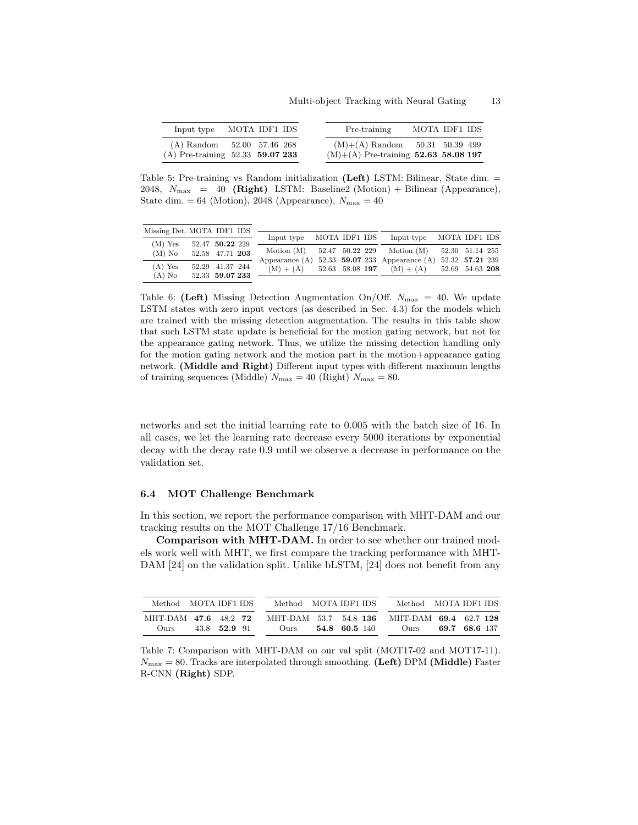| Input type                                                           | MOTA IDF1 IDS |  | Pre-training                                                               | MOTA IDF1 IDS |  |
|----------------------------------------------------------------------|---------------|--|----------------------------------------------------------------------------|---------------|--|
| $(A)$ Random $52.00$ 57.46 268<br>(A) Pre-training $52.33$ 59.07 233 |               |  | $(M)+(A)$ Random 50.31 50.39 499<br>$(M)+(A)$ Pre-training 52.63 58.08 197 |               |  |

Table 5: Pre-training vs Random initialization (Left) LSTM: Bilinear, State dim. = 2048,  $N_{\text{max}} = 40$  (**Right**) LSTM: Baseline2 (Motion) + Bilinear (Appearance), State dim. = 64 (Motion), 2048 (Appearance),  $N_{\text{max}} = 40$ 

| Missing Det. MOTA IDF1 IDS |          |                 | Input type  | MOTA IDF1 IDS |  | Input type MOTA IDF1 IDS                                        |  |  |
|----------------------------|----------|-----------------|-------------|---------------|--|-----------------------------------------------------------------|--|--|
| $(M)$ Yes                  |          | 52.47 50.22 229 |             |               |  |                                                                 |  |  |
|                            |          |                 |             |               |  | Motion (M) 52.47 50.22 229 Motion (M) 52.30 51.14 255           |  |  |
|                            | $(M)$ No | 52.58 47.71 203 |             |               |  | Appearance (A) $52.33$ 59.07 233 Appearance (A) 52.32 57.21 239 |  |  |
| (A) Yes                    |          | 52.29 41.37 244 |             |               |  |                                                                 |  |  |
|                            |          |                 | $(M) + (A)$ |               |  | 52.63 58.08 197 (M) + (A) 52.69 54.63 208                       |  |  |
| $(A)$ No                   |          | 52.33 59.07 233 |             |               |  |                                                                 |  |  |

Table 6: (Left) Missing Detection Augmentation On/Off.  $N_{\text{max}} = 40$ . We update LSTM states with zero input vectors (as described in Sec. 4.3) for the models which are trained with the missing detection augmentation. The results in this table show that such LSTM state update is beneficial for the motion gating network, but not for the appearance gating network. Thus, we utilize the missing detection handling only for the motion gating network and the motion part in the motion+appearance gating network. (Middle and Right) Different input types with different maximum lengths of training sequences (Middle)  $N_{\text{max}} = 40$  (Right)  $N_{\text{max}} = 80$ .

networks and set the initial learning rate to 0.005 with the batch size of 16. In all cases, we let the learning rate decrease every 5000 iterations by exponential decay with the decay rate 0.9 until we observe a decrease in performance on the validation set.

#### 6.4 MOT Challenge Benchmark

In this section, we report the performance comparison with MHT-DAM and our tracking results on the MOT Challenge 17/16 Benchmark.

Comparison with MHT-DAM. In order to see whether our trained models work well with MHT, we first compare the tracking performance with MHT-DAM [24] on the validation split. Unlike bLSTM, [24] does not benefit from any

| Method MOTA IDF1 IDS | Method MOTA IDF1 IDS  | Method MOTA IDF1 IDS  |
|----------------------|-----------------------|-----------------------|
| MHT-DAM 47.6 48.2 72 | MHT-DAM 53.7 54.8 136 | MHT-DAM 69.4 62.7 128 |
| 43.8 52.9 91         | $54.8\quad 60.5\;140$ | 69.7 68.6 137         |
| Ours.                | Ours.                 | O <sub>11TS</sub>     |

Table 7: Comparison with MHT-DAM on our val split (MOT17-02 and MOT17-11).  $N_{\text{max}} = 80$ . Tracks are interpolated through smoothing. (Left) DPM (Middle) Faster R-CNN (Right) SDP.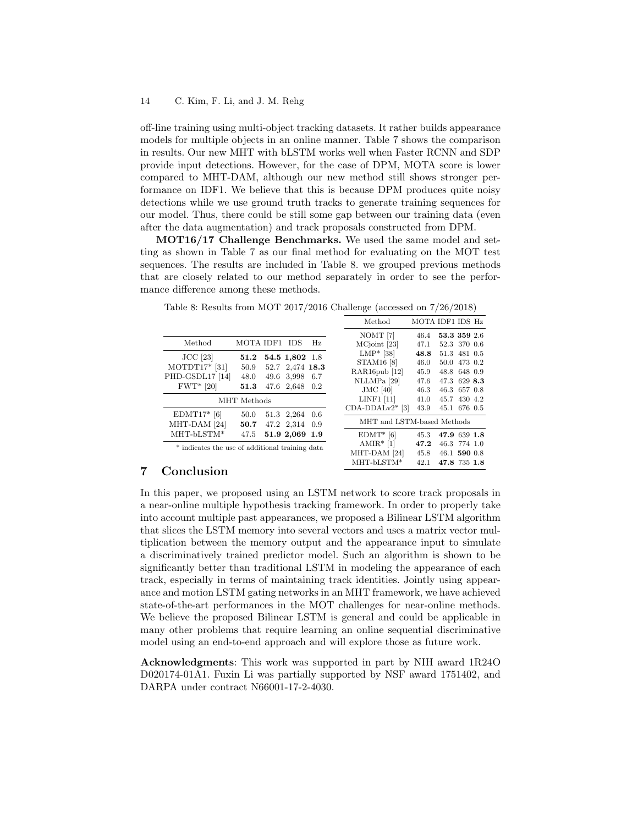off-line training using multi-object tracking datasets. It rather builds appearance models for multiple objects in an online manner. Table 7 shows the comparison in results. Our new MHT with bLSTM works well when Faster RCNN and SDP provide input detections. However, for the case of DPM, MOTA score is lower compared to MHT-DAM, although our new method still shows stronger performance on IDF1. We believe that this is because DPM produces quite noisy detections while we use ground truth tracks to generate training sequences for our model. Thus, there could be still some gap between our training data (even after the data augmentation) and track proposals constructed from DPM.

MOT16/17 Challenge Benchmarks. We used the same model and setting as shown in Table 7 as our final method for evaluating on the MOT test sequences. The results are included in Table 8. we grouped previous methods that are closely related to our method separately in order to see the performance difference among these methods.

Table 8: Results from MOT 2017/2016 Challenge (accessed on 7/26/2018)

|                                                  |                                                 |                     |            |                         |                   | Method                     | MOTA IDF1 IDS Hz |              |  |
|--------------------------------------------------|-------------------------------------------------|---------------------|------------|-------------------------|-------------------|----------------------------|------------------|--------------|--|
|                                                  |                                                 |                     |            |                         |                   | NOMT [7]                   | 46.4             | 53.3 359 2.6 |  |
|                                                  | Method                                          | MOTA IDF1 IDS       |            |                         | Hz.               | MCjoint [23]               | 47.1             | 52.3 370 0.6 |  |
|                                                  | $JCC$ [23]                                      | $\boldsymbol{51.2}$ |            | 54.5 1,802 1.8          |                   | $LMP*$ [38]                | 48.8             | 51.3 481 0.5 |  |
|                                                  | $MOTDT17*$ [31]                                 | 50.9                |            | 52.7 2,474 18.3         |                   | <b>STAM16</b> [8]          | 46.0             | 50.0 473 0.2 |  |
|                                                  |                                                 |                     |            |                         |                   | RAR16pub [12]              | 45.9             | 48.8 648 0.9 |  |
|                                                  | PHD-GSDL17 [14]                                 | 48.0                |            | 49.6 3.998 6.7          |                   | NLLMPa [29]                | 47.6             | 47.3 629 8.3 |  |
|                                                  | $FWT*$ [20]                                     | 51.3                |            | 47.6 2,648 0.2          |                   | $JMC$ [40]                 | 46.3             | 46.3 657 0.8 |  |
| MHT Methods                                      |                                                 |                     |            |                         |                   | $LINF1$ [11]               | 41.0             | 45.7 430 4.2 |  |
|                                                  |                                                 |                     |            |                         | $CDA-DDALv2*$ [3] | 43.9                       | 45.1 676 0.5     |              |  |
| $EDMT17*$ [6]<br>MHT-DAM <sup>[24]</sup><br>50.7 |                                                 | 50.0                | 51.3 2,264 |                         | -0.6              | MHT and LSTM-based Methods |                  |              |  |
|                                                  |                                                 |                     |            | 47.2 2,314 0.9          |                   |                            |                  |              |  |
|                                                  | MHT-bLSTM*                                      | 47.5                |            | 51.9 2,069 1.9          |                   | $EDMT*$ [6]                | 45.3             | 47.9 639 1.8 |  |
|                                                  | * indicates the use of additional training data |                     |            |                         |                   | $AMIR*$ [1]                | 47.2             | 46.3 774 1.0 |  |
|                                                  |                                                 |                     |            | MHT-DAM <sup>[24]</sup> | 45.8              | 46.1 590 0.8               |                  |              |  |
|                                                  |                                                 |                     |            |                         |                   | MHT-bLSTM*                 | 42.1             | 47.8 735 1.8 |  |

# 7 Conclusion

In this paper, we proposed using an LSTM network to score track proposals in a near-online multiple hypothesis tracking framework. In order to properly take into account multiple past appearances, we proposed a Bilinear LSTM algorithm that slices the LSTM memory into several vectors and uses a matrix vector multiplication between the memory output and the appearance input to simulate a discriminatively trained predictor model. Such an algorithm is shown to be significantly better than traditional LSTM in modeling the appearance of each track, especially in terms of maintaining track identities. Jointly using appearance and motion LSTM gating networks in an MHT framework, we have achieved state-of-the-art performances in the MOT challenges for near-online methods. We believe the proposed Bilinear LSTM is general and could be applicable in many other problems that require learning an online sequential discriminative model using an end-to-end approach and will explore those as future work.

Acknowledgments: This work was supported in part by NIH award 1R24O D020174-01A1. Fuxin Li was partially supported by NSF award 1751402, and DARPA under contract N66001-17-2-4030.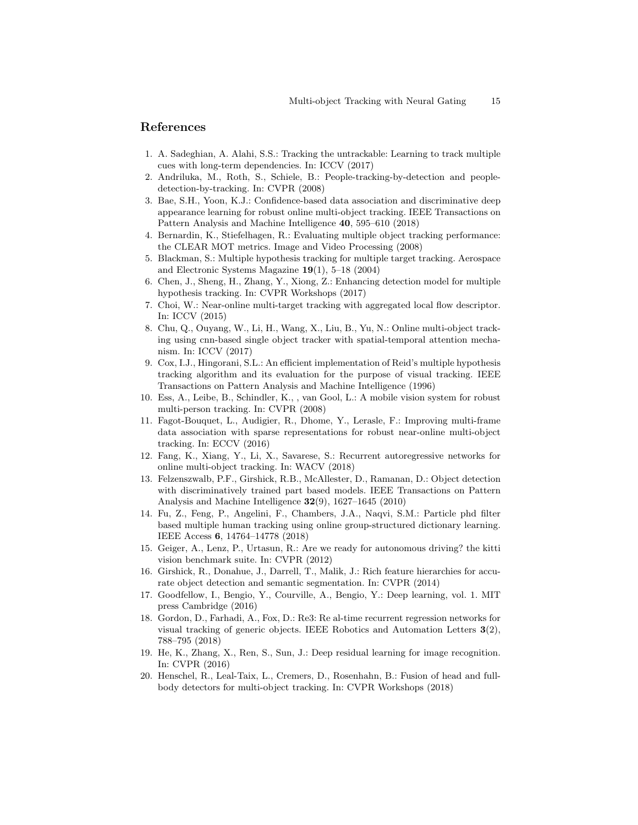## References

- 1. A. Sadeghian, A. Alahi, S.S.: Tracking the untrackable: Learning to track multiple cues with long-term dependencies. In: ICCV (2017)
- 2. Andriluka, M., Roth, S., Schiele, B.: People-tracking-by-detection and peopledetection-by-tracking. In: CVPR (2008)
- 3. Bae, S.H., Yoon, K.J.: Confidence-based data association and discriminative deep appearance learning for robust online multi-object tracking. IEEE Transactions on Pattern Analysis and Machine Intelligence 40, 595–610 (2018)
- 4. Bernardin, K., Stiefelhagen, R.: Evaluating multiple object tracking performance: the CLEAR MOT metrics. Image and Video Processing (2008)
- 5. Blackman, S.: Multiple hypothesis tracking for multiple target tracking. Aerospace and Electronic Systems Magazine 19(1), 5–18 (2004)
- 6. Chen, J., Sheng, H., Zhang, Y., Xiong, Z.: Enhancing detection model for multiple hypothesis tracking. In: CVPR Workshops (2017)
- 7. Choi, W.: Near-online multi-target tracking with aggregated local flow descriptor. In: ICCV (2015)
- 8. Chu, Q., Ouyang, W., Li, H., Wang, X., Liu, B., Yu, N.: Online multi-object tracking using cnn-based single object tracker with spatial-temporal attention mechanism. In: ICCV (2017)
- 9. Cox, I.J., Hingorani, S.L.: An efficient implementation of Reid's multiple hypothesis tracking algorithm and its evaluation for the purpose of visual tracking. IEEE Transactions on Pattern Analysis and Machine Intelligence (1996)
- 10. Ess, A., Leibe, B., Schindler, K., , van Gool, L.: A mobile vision system for robust multi-person tracking. In: CVPR (2008)
- 11. Fagot-Bouquet, L., Audigier, R., Dhome, Y., Lerasle, F.: Improving multi-frame data association with sparse representations for robust near-online multi-object tracking. In: ECCV (2016)
- 12. Fang, K., Xiang, Y., Li, X., Savarese, S.: Recurrent autoregressive networks for online multi-object tracking. In: WACV (2018)
- 13. Felzenszwalb, P.F., Girshick, R.B., McAllester, D., Ramanan, D.: Object detection with discriminatively trained part based models. IEEE Transactions on Pattern Analysis and Machine Intelligence 32(9), 1627–1645 (2010)
- 14. Fu, Z., Feng, P., Angelini, F., Chambers, J.A., Naqvi, S.M.: Particle phd filter based multiple human tracking using online group-structured dictionary learning. IEEE Access 6, 14764–14778 (2018)
- 15. Geiger, A., Lenz, P., Urtasun, R.: Are we ready for autonomous driving? the kitti vision benchmark suite. In: CVPR (2012)
- 16. Girshick, R., Donahue, J., Darrell, T., Malik, J.: Rich feature hierarchies for accurate object detection and semantic segmentation. In: CVPR (2014)
- 17. Goodfellow, I., Bengio, Y., Courville, A., Bengio, Y.: Deep learning, vol. 1. MIT press Cambridge (2016)
- 18. Gordon, D., Farhadi, A., Fox, D.: Re3: Re al-time recurrent regression networks for visual tracking of generic objects. IEEE Robotics and Automation Letters 3(2), 788–795 (2018)
- 19. He, K., Zhang, X., Ren, S., Sun, J.: Deep residual learning for image recognition. In: CVPR (2016)
- 20. Henschel, R., Leal-Taix, L., Cremers, D., Rosenhahn, B.: Fusion of head and fullbody detectors for multi-object tracking. In: CVPR Workshops (2018)